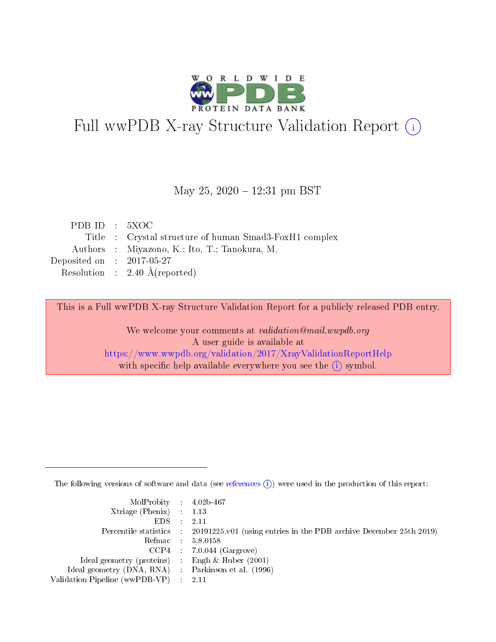

# Full wwPDB X-ray Structure Validation Report (i)

#### May 25, 2020 – 12:31 pm BST

| PDBID : 5XOC                |                                                        |
|-----------------------------|--------------------------------------------------------|
|                             | Title : Crystal structure of human Smad3-FoxH1 complex |
|                             | Authors : Miyazono, K.; Ito, T.; Tanokura, M.          |
| Deposited on : $2017-05-27$ |                                                        |
|                             | Resolution : $2.40 \text{ Å}$ (reported)               |

This is a Full wwPDB X-ray Structure Validation Report for a publicly released PDB entry.

We welcome your comments at validation@mail.wwpdb.org A user guide is available at <https://www.wwpdb.org/validation/2017/XrayValidationReportHelp> with specific help available everywhere you see the  $(i)$  symbol.

The following versions of software and data (see [references](https://www.wwpdb.org/validation/2017/XrayValidationReportHelp#references)  $(i)$ ) were used in the production of this report:

| $MolProbability$ 4.02b-467                          |                                                                                            |
|-----------------------------------------------------|--------------------------------------------------------------------------------------------|
| Xtriage (Phenix) $: 1.13$                           |                                                                                            |
| $EDS$ :                                             | -2.11                                                                                      |
|                                                     | Percentile statistics : 20191225.v01 (using entries in the PDB archive December 25th 2019) |
|                                                     | Refmac : 5.8.0158                                                                          |
|                                                     | $CCP4$ : 7.0.044 (Gargrove)                                                                |
| Ideal geometry (proteins) : Engh $\&$ Huber (2001)  |                                                                                            |
| Ideal geometry (DNA, RNA) : Parkinson et al. (1996) |                                                                                            |
| Validation Pipeline (wwPDB-VP)                      | -2.11                                                                                      |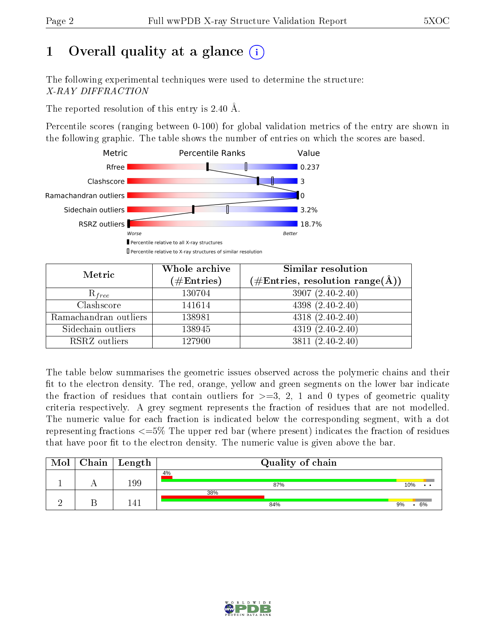# 1 [O](https://www.wwpdb.org/validation/2017/XrayValidationReportHelp#overall_quality)verall quality at a glance  $(i)$

The following experimental techniques were used to determine the structure: X-RAY DIFFRACTION

The reported resolution of this entry is 2.40 Å.

Percentile scores (ranging between 0-100) for global validation metrics of the entry are shown in the following graphic. The table shows the number of entries on which the scores are based.



| Metric                | Whole archive<br>$(\#\text{Entries})$ | <b>Similar resolution</b><br>$(\#\text{Entries},\,\text{resolution}\,\,\text{range}(\textup{\AA}))$ |
|-----------------------|---------------------------------------|-----------------------------------------------------------------------------------------------------|
| $R_{free}$            | 130704                                | $3907(2.40-2.40)$                                                                                   |
| Clashscore            | 141614                                | $4398(2.40-2.40)$                                                                                   |
| Ramachandran outliers | 138981                                | $4318(2.40-2.40)$                                                                                   |
| Sidechain outliers    | 138945                                | $4319(2.40-2.40)$                                                                                   |
| RSRZ outliers         | 127900                                | $3811 (2.40 - 2.40)$                                                                                |

The table below summarises the geometric issues observed across the polymeric chains and their fit to the electron density. The red, orange, yellow and green segments on the lower bar indicate the fraction of residues that contain outliers for  $>=$  3, 2, 1 and 0 types of geometric quality criteria respectively. A grey segment represents the fraction of residues that are not modelled. The numeric value for each fraction is indicated below the corresponding segment, with a dot representing fractions  $\epsilon=5\%$  The upper red bar (where present) indicates the fraction of residues that have poor fit to the electron density. The numeric value is given above the bar.

| Mol | Chain   Length | Quality of chain |          |
|-----|----------------|------------------|----------|
|     | 199            | 4%<br>87%        | 10%      |
|     | 1 4 1          | 38%<br>84%       | 6%<br>9% |

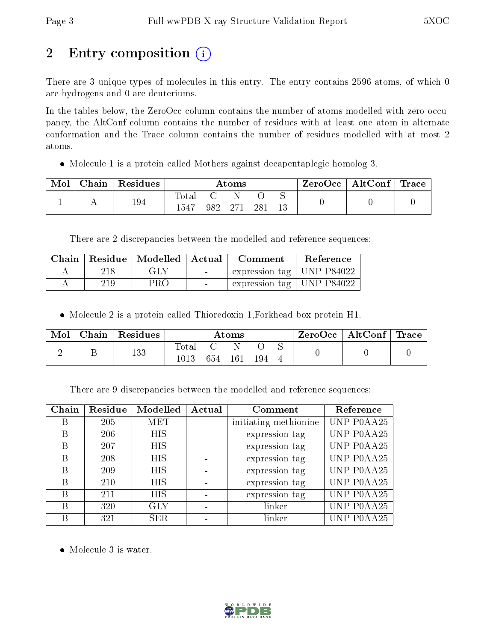# 2 Entry composition (i)

There are 3 unique types of molecules in this entry. The entry contains 2596 atoms, of which 0 are hydrogens and 0 are deuteriums.

In the tables below, the ZeroOcc column contains the number of atoms modelled with zero occupancy, the AltConf column contains the number of residues with at least one atom in alternate conformation and the Trace column contains the number of residues modelled with at most 2 atoms.

• Molecule 1 is a protein called Mothers against decapentaplegic homolog 3.

| Mol | Chain | Residues | Atoms         |     |  |     | $+$ ZeroOcc $+$ | $\operatorname{AltConf}$ | $\operatorname{Trace}$ |
|-----|-------|----------|---------------|-----|--|-----|-----------------|--------------------------|------------------------|
|     |       | 194      | Total<br>1547 | 982 |  | 281 |                 |                          |                        |

There are 2 discrepancies between the modelled and reference sequences:

|   |     | Chain   Residue   Modelled   Actual |                                   | Comment                                   | Reference |
|---|-----|-------------------------------------|-----------------------------------|-------------------------------------------|-----------|
| Α | 218 | GLY                                 | <b>Contract Contract Contract</b> | expression tag   UNP P84022               |           |
|   | 219 | PRO                                 | $\sim$                            | $\vert$ expression tag $\vert$ UNP P84022 |           |

Molecule 2 is a protein called Thioredoxin 1,Forkhead box protein H1.

| Mol | ${\rm Chain}$ | Residues | $\rm{Atoms}$         |     |     | $\text{ZeroOcc} \mid \text{AltConf} \mid \text{Trace}$ |  |  |  |
|-----|---------------|----------|----------------------|-----|-----|--------------------------------------------------------|--|--|--|
|     |               | 133      | <b>Total</b><br>1013 | 654 | 161 | 194                                                    |  |  |  |

There are 9 discrepancies between the modelled and reference sequences:

| Chain | Residue | Modelled   | Actual | Comment               | Reference  |
|-------|---------|------------|--------|-----------------------|------------|
| B     | 205     | <b>MET</b> |        | initiating methionine | UNP P0AA25 |
| B     | 206     | <b>HIS</b> |        | expression tag        | UNP P0AA25 |
| В     | 207     | <b>HIS</b> |        | expression tag        | UNP P0AA25 |
| В     | 208     | <b>HIS</b> |        | expression tag        | UNP P0AA25 |
| B     | 209     | <b>HIS</b> |        | expression tag        | UNP P0AA25 |
| В     | 210     | <b>HIS</b> |        | expression tag        | UNP P0AA25 |
| В     | 211     | <b>HIS</b> |        | expression tag        | UNP P0AA25 |
| В     | 320     | <b>GLY</b> |        | linker                | UNP P0AA25 |
|       | 321     | <b>SER</b> |        | linker                | UNP P0AA25 |

• Molecule 3 is water.

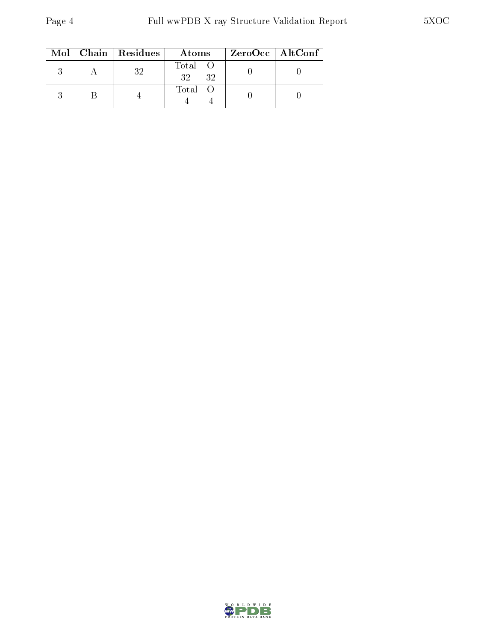|  | $Mol$   Chain   Residues | Atoms               | $ZeroOcc$   AltConf |
|--|--------------------------|---------------------|---------------------|
|  | 32                       | Total O<br>32<br>32 |                     |
|  |                          | Total O             |                     |

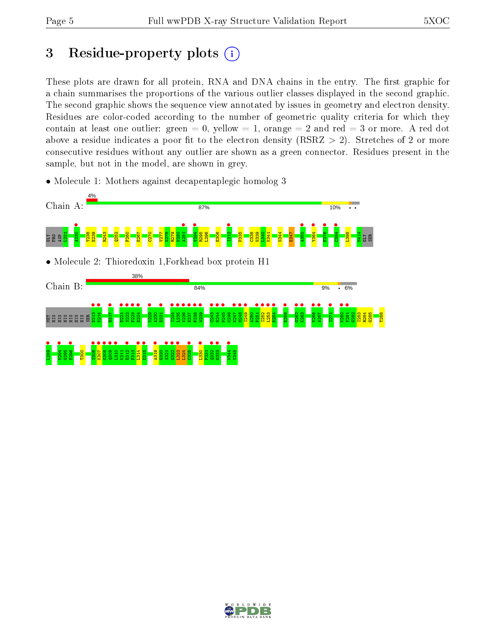# 3 Residue-property plots  $(i)$

These plots are drawn for all protein, RNA and DNA chains in the entry. The first graphic for a chain summarises the proportions of the various outlier classes displayed in the second graphic. The second graphic shows the sequence view annotated by issues in geometry and electron density. Residues are color-coded according to the number of geometric quality criteria for which they contain at least one outlier: green  $= 0$ , yellow  $= 1$ , orange  $= 2$  and red  $= 3$  or more. A red dot above a residue indicates a poor fit to the electron density (RSRZ  $> 2$ ). Stretches of 2 or more consecutive residues without any outlier are shown as a green connector. Residues present in the sample, but not in the model, are shown in grey.

• Molecule 1: Mothers against decapentaplegic homolog 3



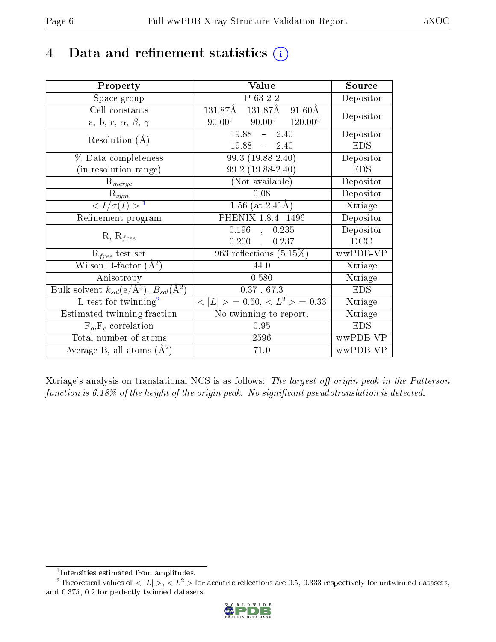## 4 Data and refinement statistics  $(i)$

| Property                                                             | Value                                               | Source                       |
|----------------------------------------------------------------------|-----------------------------------------------------|------------------------------|
| Space group                                                          | P 63 2 2                                            | Depositor                    |
| Cell constants                                                       | 131.87Å 131.87Å 91.60Å                              | Depositor                    |
| a, b, c, $\alpha$ , $\beta$ , $\gamma$                               | $90.00^{\circ}$ $120.00^{\circ}$<br>$90.00^{\circ}$ |                              |
| Resolution $(A)$                                                     | $19.88 -$<br>2.40                                   | Depositor                    |
|                                                                      | $19.88 - 2.40$                                      | <b>EDS</b>                   |
| % Data completeness                                                  | 99.3 (19.88-2.40)                                   | Depositor                    |
| (in resolution range)                                                | 99.2 (19.88-2.40)                                   | <b>EDS</b>                   |
| $R_{merge}$                                                          | (Not available)                                     | Depositor                    |
| $R_{sym}$                                                            | 0.08                                                | Depositor                    |
| $\langle I/\sigma(I) \rangle^{-1}$                                   | 1.56 (at $2.41\text{\AA}$ )                         | Xtriage                      |
| Refinement program                                                   | PHENIX 1.8.4 1496                                   | Depositor                    |
|                                                                      | 0.196<br>0.235<br>$\mathcal{A}$                     | Depositor                    |
| $R, R_{free}$                                                        | 0.200<br>0.237<br>$\mathcal{L}$                     | DCC                          |
| $R_{free}$ test set                                                  | 963 reflections $(5.15\%)$                          | wwPDB-VP                     |
| Wilson B-factor $(A^2)$                                              | 44.0                                                | Xtriage                      |
| Anisotropy                                                           | 0.580                                               | Xtriage                      |
| Bulk solvent $k_{sol}(e/\mathring{A}^3)$ , $B_{sol}(\mathring{A}^2)$ | 0.37, 67.3                                          | <b>EDS</b>                   |
| L-test for twinning <sup>2</sup>                                     | $< L >$ = 0.50, $< L2$ > = 0.33                     | Xtriage                      |
| Estimated twinning fraction                                          | No twinning to report.                              | $\overline{\text{X}}$ triage |
| $\overline{F_o}, \overline{F_c}$ correlation                         | 0.95                                                | <b>EDS</b>                   |
| Total number of atoms                                                | 2596                                                | wwPDB-VP                     |
| Average B, all atoms $(A^2)$                                         | 71.0                                                | wwPDB-VP                     |

Xtriage's analysis on translational NCS is as follows: The largest off-origin peak in the Patterson function is  $6.18\%$  of the height of the origin peak. No significant pseudotranslation is detected.

<sup>&</sup>lt;sup>2</sup>Theoretical values of  $\langle |L| \rangle$ ,  $\langle L^2 \rangle$  for acentric reflections are 0.5, 0.333 respectively for untwinned datasets, and 0.375, 0.2 for perfectly twinned datasets.



<span id="page-5-1"></span><span id="page-5-0"></span><sup>1</sup> Intensities estimated from amplitudes.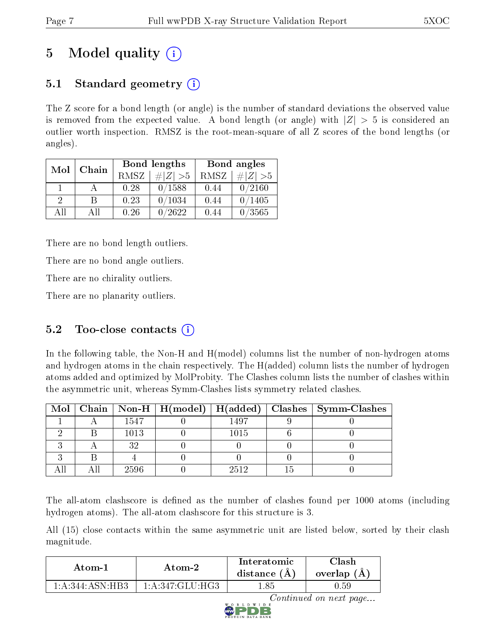# 5 Model quality  $(i)$

## 5.1 Standard geometry  $(i)$

The Z score for a bond length (or angle) is the number of standard deviations the observed value is removed from the expected value. A bond length (or angle) with  $|Z| > 5$  is considered an outlier worth inspection. RMSZ is the root-mean-square of all Z scores of the bond lengths (or angles).

| Mol           | Chain |      | Bond lengths | Bond angles |             |  |
|---------------|-------|------|--------------|-------------|-------------|--|
|               |       | RMSZ | # Z  > 5     | RMSZ        | $\# Z  > 5$ |  |
|               |       | 0.28 | 0/1588       | 0.44        | 0/2160      |  |
| $\mathcal{D}$ | R     | 0.23 | 0/1034       | 0.44        | 0/1405      |  |
| AH            | All   | 0.26 | /2622        | 0.44        | 0/3565      |  |

There are no bond length outliers.

There are no bond angle outliers.

There are no chirality outliers.

There are no planarity outliers.

### $5.2$  Too-close contacts  $(i)$

In the following table, the Non-H and H(model) columns list the number of non-hydrogen atoms and hydrogen atoms in the chain respectively. The H(added) column lists the number of hydrogen atoms added and optimized by MolProbity. The Clashes column lists the number of clashes within the asymmetric unit, whereas Symm-Clashes lists symmetry related clashes.

|  |      |      | Mol   Chain   Non-H   H(model)   H(added)   Clashes   Symm-Clashes |
|--|------|------|--------------------------------------------------------------------|
|  | 1547 | 1497 |                                                                    |
|  | 1013 | 1015 |                                                                    |
|  | 29   |      |                                                                    |
|  |      |      |                                                                    |
|  | 2596 | 2512 |                                                                    |

The all-atom clashscore is defined as the number of clashes found per 1000 atoms (including hydrogen atoms). The all-atom clashscore for this structure is 3.

All (15) close contacts within the same asymmetric unit are listed below, sorted by their clash magnitude.

| Atom-1            | Atom-2          | Interatomic<br>distance $(A)$ | 7lash<br>overlap (A) |
|-------------------|-----------------|-------------------------------|----------------------|
| 1: A:344: ASN:HB3 | 1:A:347:GLU:HG3 | ' 85.                         | 0.59                 |

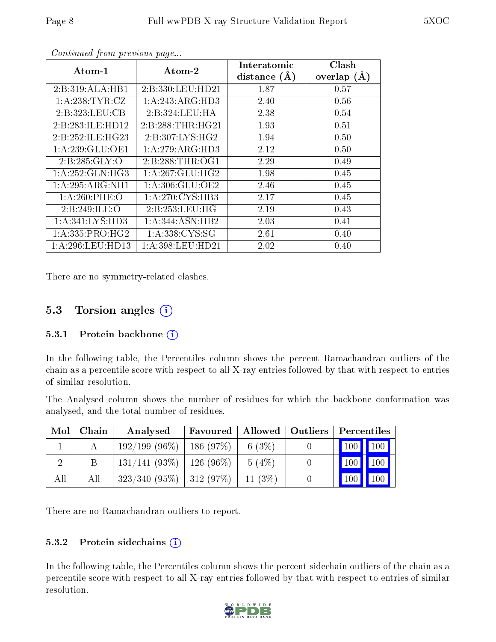| $\boldsymbol{\mathrm{Atom}\text{-}1}$ | $\boldsymbol{\mathrm{Atom}\text{-}2}$ | Interatomic      | Clash         |
|---------------------------------------|---------------------------------------|------------------|---------------|
|                                       |                                       | distance $(\AA)$ | overlap $(A)$ |
| 2:B:319:ALA:HB1                       | 2:B:330:LEU:HD21                      | 1.87             | 0.57          |
| 1:A:238:TYR:CZ                        | 1:A:243:ARG:HD3                       | 2.40             | 0.56          |
| 2:B:323:LEU:CB                        | 2:B:324:LEU:HA                        | 2.38             | 0.54          |
| 2:B:283:ILE:HD12                      | 2:B:288:THR:HG21                      | 1.93             | 0.51          |
| 2:B:252:ILE:HG23                      | 2:B:307:LYS:HG2                       | 1.94             | 0.50          |
| 1:A:239:GLU:OE1                       | 1:A:279:ARG:HD3                       | 2.12             | 0.50          |
| 2:B:285:GLY:O                         | 2:B:288:THR:OG1                       | 2.29             | 0.49          |
| $1:A:252:GLN:\overline{HG3}$          | 1: A:267: GLU:HG2                     | 1.98             | 0.45          |
| $1:A:295:ARG:N\overline{H1}$          | 1: A:306: GLU:OE2                     | 2.46             | 0.45          |
| $1: A:260:$ PHE:O                     | 1:A:270:CYS:HB3                       | 2.17             | 0.45          |
| 2:B:249:ILE:O                         | 2:B:253:LEU:HG                        | 2.19             | 0.43          |
| 1: A:341:LYS:HD3                      | 1:A:344:ASN:HB2                       | 2.03             | 0.41          |
| 1:A:335:PRO:HG2                       | 1:A:338:CYS:SG                        | 2.61             | 0.40          |
| 1: A:296:LEU:HD13                     | 1: A:398:LEU:HD21                     | 2.02             | 0.40          |

Continued from previous page...

There are no symmetry-related clashes.

### 5.3 Torsion angles (i)

#### 5.3.1 Protein backbone  $(i)$

In the following table, the Percentiles column shows the percent Ramachandran outliers of the chain as a percentile score with respect to all X-ray entries followed by that with respect to entries of similar resolution.

The Analysed column shows the number of residues for which the backbone conformation was analysed, and the total number of residues.

| Mol | Chain | Analysed                      | Favoured     |           | Allowed   Outliers   Percentiles |                                 |     |
|-----|-------|-------------------------------|--------------|-----------|----------------------------------|---------------------------------|-----|
|     |       | $192/199(96\%)$               | 186(97%)     | 6 $(3\%)$ |                                  | $\vert$ 100 $\vert$ 100 $\vert$ |     |
|     |       | $131/141$ (93\%)   126 (96\%) |              | $5(4\%)$  |                                  | 100                             | 100 |
| All | Аll   | 323/340(95%)                  | $ 312(97\%)$ | $11(3\%)$ |                                  |                                 | 100 |

There are no Ramachandran outliers to report.

#### 5.3.2 Protein sidechains (i)

In the following table, the Percentiles column shows the percent sidechain outliers of the chain as a percentile score with respect to all X-ray entries followed by that with respect to entries of similar resolution.

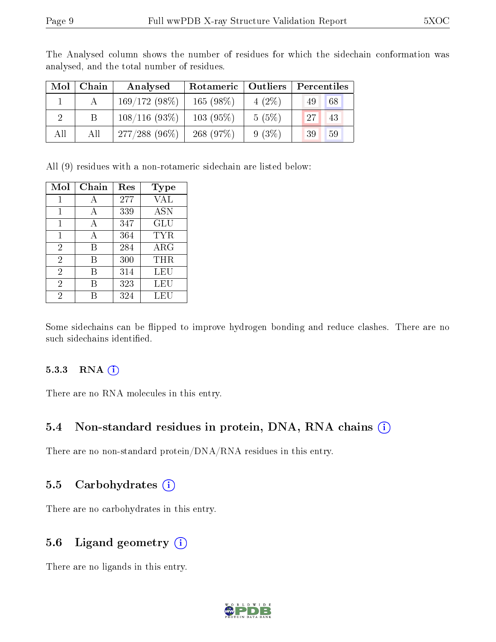| Mol | Chain        | Analysed         | Rotameric   Outliers |          | Percentiles |
|-----|--------------|------------------|----------------------|----------|-------------|
|     |              | $169/172(98\%)$  | $165(98\%)$          | $4(2\%)$ | 68<br>49    |
|     | <sup>B</sup> | $108/116(93\%)$  | $103(95\%)$          | 5(5%)    | 27<br>-43   |
| All | All          | $277/288$ (96\%) | 268(97%)             | 9(3%)    | 39<br>59    |

The Analysed column shows the number of residues for which the sidechain conformation was analysed, and the total number of residues.

All (9) residues with a non-rotameric sidechain are listed below:

| Mol            | Chain | $\operatorname{Res}% \left( \mathcal{N}\right) \equiv\operatorname{Res}(\mathcal{N}_{0})\cap\mathcal{N}_{1}$ | <b>Type</b> |
|----------------|-------|--------------------------------------------------------------------------------------------------------------|-------------|
| 1              | А     | 277                                                                                                          | VAL         |
| 1              | А     | 339                                                                                                          | ASN         |
| 1              | А     | 347                                                                                                          | GLU         |
| 1              | А     | 364                                                                                                          | TYR         |
| $\overline{2}$ | В     | 284                                                                                                          | ARG         |
| $\overline{2}$ | В     | 300                                                                                                          | THR         |
| $\overline{2}$ | В     | 314                                                                                                          | <b>LEU</b>  |
| $\overline{2}$ | В     | 323                                                                                                          | LEU         |
| $\overline{2}$ |       | 324                                                                                                          | LEU         |

Some sidechains can be flipped to improve hydrogen bonding and reduce clashes. There are no such sidechains identified.

#### 5.3.3 RNA (i)

There are no RNA molecules in this entry.

### 5.4 Non-standard residues in protein, DNA, RNA chains (i)

There are no non-standard protein/DNA/RNA residues in this entry.

#### 5.5 Carbohydrates  $(i)$

There are no carbohydrates in this entry.

### 5.6 Ligand geometry  $(i)$

There are no ligands in this entry.

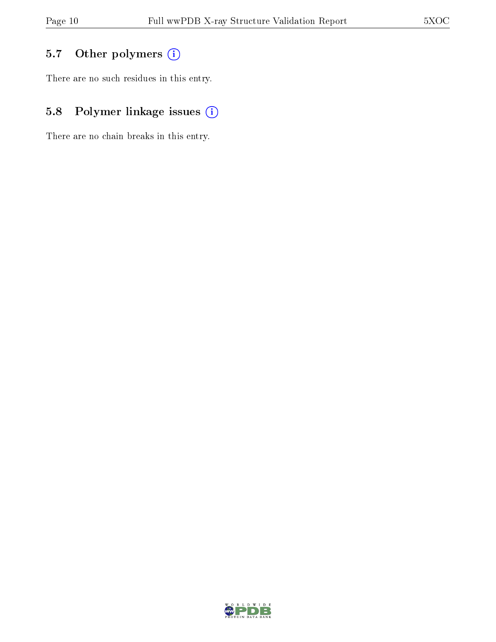## 5.7 [O](https://www.wwpdb.org/validation/2017/XrayValidationReportHelp#nonstandard_residues_and_ligands)ther polymers (i)

There are no such residues in this entry.

## 5.8 Polymer linkage issues (i)

There are no chain breaks in this entry.

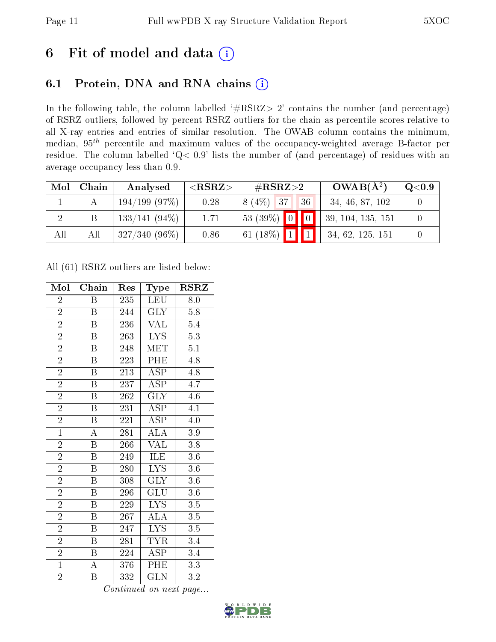# 6 Fit of model and data  $(i)$

## 6.1 Protein, DNA and RNA chains  $(i)$

In the following table, the column labelled  $#RSRZ> 2'$  contains the number (and percentage) of RSRZ outliers, followed by percent RSRZ outliers for the chain as percentile scores relative to all X-ray entries and entries of similar resolution. The OWAB column contains the minimum, median,  $95<sup>th</sup>$  percentile and maximum values of the occupancy-weighted average B-factor per residue. The column labelled ' $Q< 0.9$ ' lists the number of (and percentage) of residues with an average occupancy less than 0.9.

| Mol | Chain | Analysed        | ${ <\hspace{-1.5pt}{\mathrm{RSRZ}} \hspace{-1.5pt}>}$ | $\#\text{RSRZ}{>}2$             | $OWAB(A^2)$       | $\rm Q\textcolor{black}{<}0.9$ |
|-----|-------|-----------------|-------------------------------------------------------|---------------------------------|-------------------|--------------------------------|
|     |       | 194/199(97%)    | 0.28                                                  | $8(4\%)$ 37<br>136 <sup>1</sup> | 34, 46, 87, 102   |                                |
|     |       | $133/141(94\%)$ | 1.71                                                  | $53(39\%)$ 0 0                  | 39, 104, 135, 151 |                                |
| All | All   | $327/340(96\%)$ | 0.86                                                  | 61 (18%) $1$ 1                  | 34, 62, 125, 151  |                                |

All (61) RSRZ outliers are listed below:

| Mol            | Chain                   | Res | Type                    | $\rm RSRZ$       |
|----------------|-------------------------|-----|-------------------------|------------------|
| $\overline{2}$ | Β                       | 235 | LEU                     | 8.0              |
| $\overline{2}$ | B                       | 244 | <b>GLY</b>              | $5.8\,$          |
| $\overline{2}$ | $\boldsymbol{B}$        | 236 | VAL                     | 5.4              |
| $\overline{2}$ | $\boldsymbol{B}$        | 263 | <b>LYS</b>              | $\overline{5.3}$ |
| $\overline{2}$ | $\overline{\mathrm{B}}$ | 248 | <b>MET</b>              | $\overline{5.1}$ |
| $\overline{2}$ | $\boldsymbol{B}$        | 223 | PHE                     | $4.8\,$          |
| $\overline{2}$ | $\overline{B}$          | 213 | <b>ASP</b>              | $4.8\,$          |
| $\overline{2}$ | $\overline{\mathbf{B}}$ | 237 | <b>ASP</b>              | 4.7              |
| $\overline{2}$ | $\overline{B}$          | 262 | <b>GLY</b>              | 4.6              |
| $\overline{2}$ | $\overline{\mathrm{B}}$ | 231 | $\overline{\text{ASP}}$ | $\overline{4.1}$ |
| $\overline{2}$ | $\, {\bf B}$            | 221 | <b>ASP</b>              | 4.0              |
| $\overline{1}$ | $\overline{\rm A}$      | 281 | $\widehat{\rm ALA}$     | $3.9\,$          |
| $\overline{2}$ | $\overline{B}$          | 266 | $\overline{\text{VAL}}$ | 3.8              |
| $\overline{2}$ | $\boldsymbol{B}$        | 249 | <b>ILE</b>              | $3.6\,$          |
| $\overline{2}$ | $\overline{\mathrm{B}}$ | 280 | $\overline{\text{LYS}}$ | $\overline{3.6}$ |
| $\overline{2}$ | $\overline{B}$          | 308 | $\overline{\text{GLY}}$ | 3.6              |
| $\overline{2}$ | $\boldsymbol{B}$        | 296 | GLU                     | $\overline{3.6}$ |
| $\overline{2}$ | $\boldsymbol{B}$        | 229 | <b>LYS</b>              | 3.5              |
| $\overline{2}$ | $\boldsymbol{B}$        | 267 | <b>ALA</b>              | 3.5              |
| $\overline{2}$ | B                       | 247 | <b>LYS</b>              | $3.5\,$          |
| $\overline{2}$ | $\boldsymbol{B}$        | 281 | <b>TYR</b>              | 3.4              |
| $\overline{2}$ | B                       | 224 | ASP                     | 3.4              |
| $\mathbf{1}$   | $\overline{\rm A}$      | 376 | PHE                     | 3.3              |
| $\overline{2}$ | B                       | 332 | $\overline{\text{GLN}}$ | 3.2              |

Continued on next page...

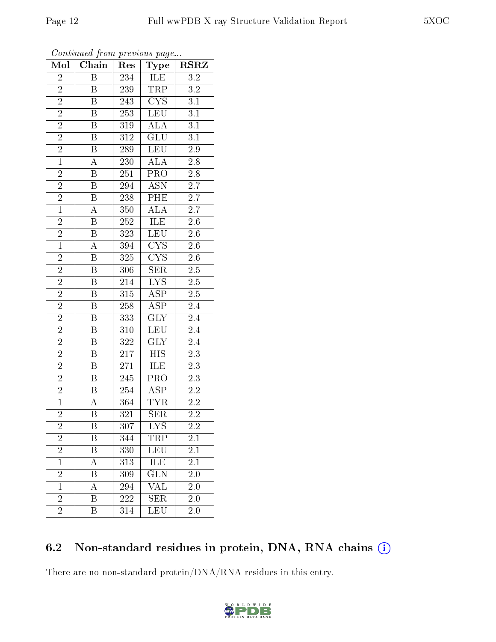| Mol            | Chain                     | Res              | <b>Type</b>                             | $\overline{\text{RSR}}$ |
|----------------|---------------------------|------------------|-----------------------------------------|-------------------------|
| $\overline{2}$ | $\boldsymbol{B}$          | 234              | ILE                                     | $\overline{3.2}$        |
| $\overline{2}$ | B                         | 239              | TRP                                     | 3.2                     |
| $\overline{2}$ | $\overline{\mathrm{B}}$   | 243              | $\overline{\text{CYS}}$                 | 3.1                     |
| $\overline{2}$ | $\, {\bf B}$              | 253              | <b>LEU</b>                              | 3.1                     |
| $\overline{2}$ | $\overline{\mathrm{B}}$   | 319              | $\overline{\rm ALA}$                    | $\overline{3.1}$        |
| $\overline{2}$ | $\overline{B}$            | 312              | <b>GLU</b>                              | 3.1                     |
| $\overline{2}$ | $\boldsymbol{B}$          | 289              | <b>LEU</b>                              | $2.9\,$                 |
| $\overline{1}$ | $\overline{A}$            | 230              | <b>ALA</b>                              | $\overline{2.8}$        |
| $\overline{2}$ | B                         | 251              | PRO                                     | $2.8\,$                 |
| $\overline{2}$ | $\overline{\mathrm{B}}$   | 294              | $\overline{\text{ASN}}$                 | $\overline{2.7}$        |
| $\overline{2}$ | $\boldsymbol{\mathrm{B}}$ | 238              | $\overline{PHE}$                        | $2.7\,$                 |
| $\overline{1}$ | $\overline{\rm A}$        | 350              | $\overline{\rm ALA}$                    | $\overline{2.7}$        |
| $\overline{2}$ | $\, {\bf B}$              | 252              | <b>ILE</b>                              | 2.6                     |
| $\overline{2}$ | $\boldsymbol{B}$          | 323              | <b>LEU</b>                              | $2.6\,$                 |
| $\overline{1}$ | $\overline{\rm A}$        | 394              | $\overline{\text{C} \text{YS}}$         | $2.\overline{6}$        |
| $\overline{2}$ | $\boldsymbol{B}$          | $\overline{325}$ | $\overline{\text{C} \text{Y}} \text{S}$ | 2.6                     |
| $\overline{2}$ | $\overline{\mathrm{B}}$   | 306              | $\overline{\text{SER}}$                 | $2.5\,$                 |
| $\overline{2}$ | $\boldsymbol{B}$          | 214              | <b>LYS</b>                              | 2.5                     |
| $\overline{2}$ | $\boldsymbol{B}$          | 315              | $\mathrm{A}\overline{\mathrm{SP}}$      | $2.5\,$                 |
| $\overline{2}$ | $\overline{\mathbf{B}}$   | <b>258</b>       | $\overline{\text{ASP}}$                 | $\overline{2.4}$        |
| $\overline{2}$ | $\overline{B}$            | 333              | <b>GLY</b>                              | $2.4\,$                 |
| $\overline{2}$ | $\overline{\mathrm{B}}$   | 310              | $\overline{\text{LEU}}$                 | $\overline{2.4}$        |
| $\overline{2}$ | $\, {\bf B}$              | 322              | <b>GLY</b>                              | $2.4\,$                 |
| $\overline{2}$ | $\overline{\mathrm{B}}$   | 217              | <b>HIS</b>                              | $2.3\,$                 |
| $\overline{2}$ | $\overline{B}$            | 271              | ILE                                     | 2.3                     |
| $\overline{2}$ | $\boldsymbol{B}$          | 245              | PRO                                     | 2.3                     |
| $\overline{2}$ | $\overline{\mathrm{B}}$   | 254              | $\overline{\text{ASP}}$                 | $\overline{2.2}$        |
| $\mathbf{1}$   | $\boldsymbol{A}$          | 364              | <b>TYR</b>                              | $2.2\,$                 |
| $\overline{2}$ | $\overline{\mathrm{B}}$   | 321              | $\overline{\text{SER}}$                 | $\overline{2.2}$        |
| $\overline{2}$ | Β                         | 307              | LYS                                     | 2.2                     |
| $\overline{2}$ | $\boldsymbol{B}$          | 344              | TRP                                     | 2.1                     |
| $\overline{2}$ | $\boldsymbol{B}$          | 330              | LEU                                     | 2.1                     |
| $\mathbf{1}$   | A                         | 313              | ILE                                     | 2.1                     |
| $\overline{2}$ | Β                         | 309              | $\overline{{\rm GLN}}$                  | $2.\overline{0}$        |
| $\mathbf{1}$   | A                         | 294              | VAL                                     | 2.0                     |
| $\overline{2}$ | B                         | 222              | <b>SER</b>                              | 2.0                     |
| $\bar{2}$      | Β                         | 314              | LEU                                     | 2.0                     |

#### Continued from previous page.

### 6.2 Non-standard residues in protein, DNA, RNA chains  $(i)$

There are no non-standard protein/DNA/RNA residues in this entry.